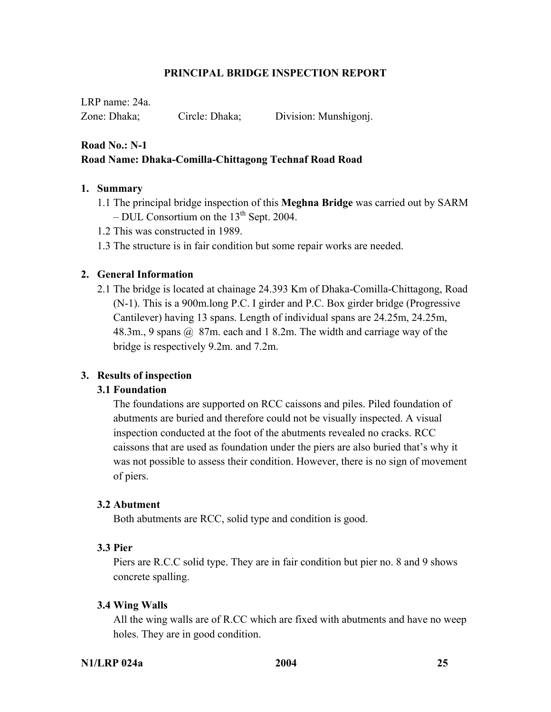# **PRINCIPAL BRIDGE INSPECTION REPORT**

LRP name: 24a.

Zone: Dhaka; Circle: Dhaka; Division: Munshigonj.

# **Road No.: N-1**

# **Road Name: Dhaka-Comilla-Chittagong Technaf Road Road**

## **1. Summary**

- 1.1 The principal bridge inspection of this **Meghna Bridge** was carried out by SARM – DUL Consortium on the  $13<sup>th</sup>$  Sept. 2004.
- 1.2 This was constructed in 1989.
- 1.3 The structure is in fair condition but some repair works are needed.

# **2. General Information**

2.1 The bridge is located at chainage 24.393 Km of Dhaka-Comilla-Chittagong, Road (N-1). This is a 900m.long P.C. I girder and P.C. Box girder bridge (Progressive Cantilever) having 13 spans. Length of individual spans are 24.25m, 24.25m, 48.3m., 9 spans @ 87m. each and 1 8.2m. The width and carriage way of the bridge is respectively 9.2m. and 7.2m.

## **3. Results of inspection**

# **3.1 Foundation**

The foundations are supported on RCC caissons and piles. Piled foundation of abutments are buried and therefore could not be visually inspected. A visual inspection conducted at the foot of the abutments revealed no cracks. RCC caissons that are used as foundation under the piers are also buried that's why it was not possible to assess their condition. However, there is no sign of movement of piers.

## **3.2 Abutment**

Both abutments are RCC, solid type and condition is good.

#### **3.3 Pier**

Piers are R.C.C solid type. They are in fair condition but pier no. 8 and 9 shows concrete spalling.

## **3.4 Wing Walls**

All the wing walls are of R.CC which are fixed with abutments and have no weep holes. They are in good condition.

### **N1/LRP 024a 2004 25**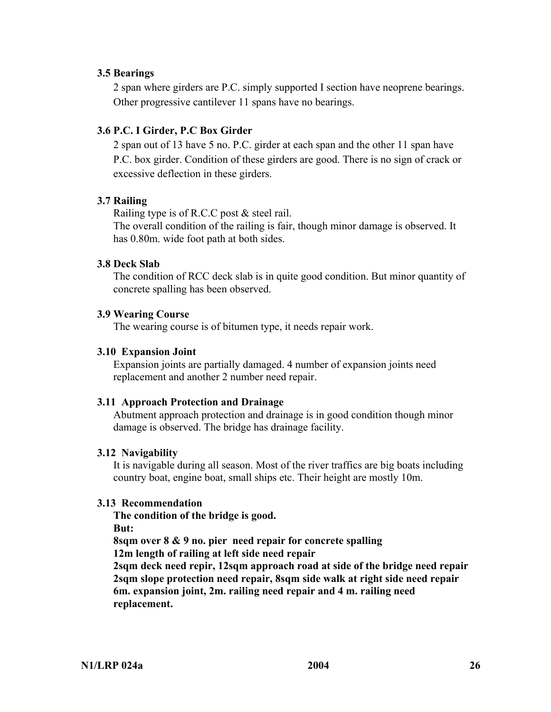# **3.5 Bearings**

2 span where girders are P.C. simply supported I section have neoprene bearings. Other progressive cantilever 11 spans have no bearings.

# **3.6 P.C. I Girder, P.C Box Girder**

2 span out of 13 have 5 no. P.C. girder at each span and the other 11 span have P.C. box girder. Condition of these girders are good. There is no sign of crack or excessive deflection in these girders.

## **3.7 Railing**

Railing type is of R.C.C post & steel rail.

The overall condition of the railing is fair, though minor damage is observed. It has 0.80m. wide foot path at both sides.

### **3.8 Deck Slab**

The condition of RCC deck slab is in quite good condition. But minor quantity of concrete spalling has been observed.

### **3.9 Wearing Course**

The wearing course is of bitumen type, it needs repair work.

### **3.10 Expansion Joint**

Expansion joints are partially damaged. 4 number of expansion joints need replacement and another 2 number need repair.

## **3.11 Approach Protection and Drainage**

Abutment approach protection and drainage is in good condition though minor damage is observed. The bridge has drainage facility.

## **3.12 Navigability**

It is navigable during all season. Most of the river traffics are big boats including country boat, engine boat, small ships etc. Their height are mostly 10m.

#### **3.13 Recommendation**

**The condition of the bridge is good.** 

**But:** 

**8sqm over 8 & 9 no. pier need repair for concrete spalling 12m length of railing at left side need repair** 

**2sqm deck need repir, 12sqm approach road at side of the bridge need repair 2sqm slope protection need repair, 8sqm side walk at right side need repair 6m. expansion joint, 2m. railing need repair and 4 m. railing need replacement.**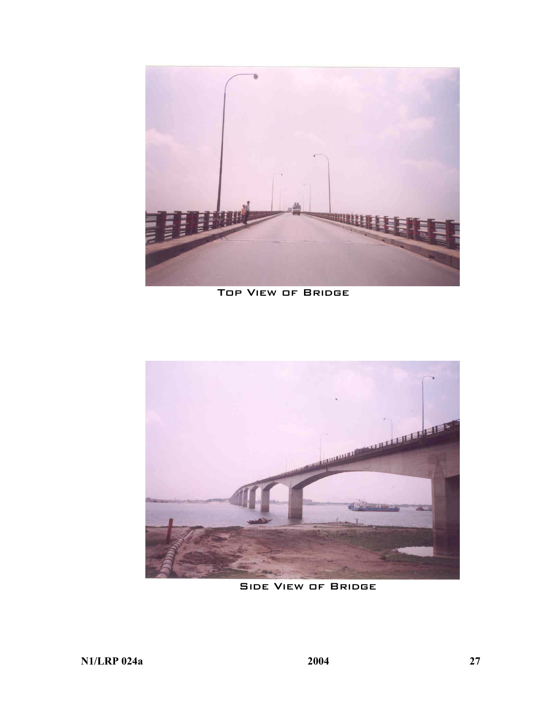

Top View of Bridge



Side View of Bridge